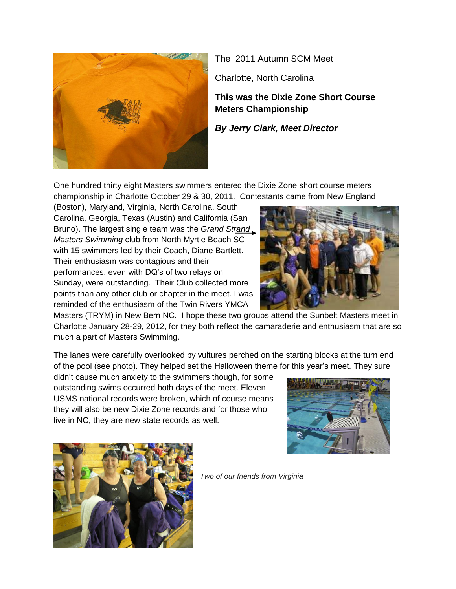

The 2011 Autumn SCM Meet

Charlotte, North Carolina

**This was the Dixie Zone Short Course Meters Championship**

*By Jerry Clark, Meet Director*

One hundred thirty eight Masters swimmers entered the Dixie Zone short course meters championship in Charlotte October 29 & 30, 2011. Contestants came from New England

(Boston), Maryland, Virginia, North Carolina, South Carolina, Georgia, Texas (Austin) and California (San Bruno). The largest single team was the *Grand Strand Masters Swimming* club from North Myrtle Beach SC with 15 swimmers led by their Coach, Diane Bartlett. Their enthusiasm was contagious and their performances, even with DQ's of two relays on Sunday, were outstanding. Their Club collected more points than any other club or chapter in the meet. I was reminded of the enthusiasm of the Twin Rivers YMCA



Masters (TRYM) in New Bern NC. I hope these two groups attend the Sunbelt Masters meet in Charlotte January 28-29, 2012, for they both reflect the camaraderie and enthusiasm that are so much a part of Masters Swimming.

The lanes were carefully overlooked by vultures perched on the starting blocks at the turn end of the pool (see photo). They helped set the Halloween theme for this year's meet. They sure

didn't cause much anxiety to the swimmers though, for some outstanding swims occurred both days of the meet. Eleven USMS national records were broken, which of course means they will also be new Dixie Zone records and for those who live in NC, they are new state records as well.





*Two of our friends from Virginia*